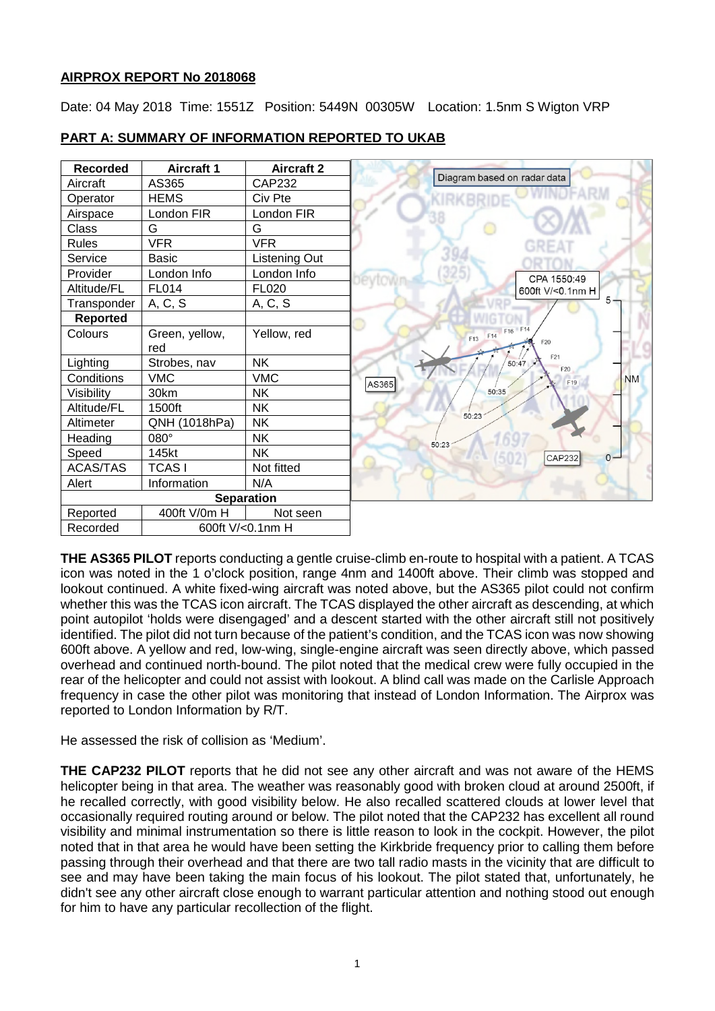## **AIRPROX REPORT No 2018068**

Date: 04 May 2018 Time: 1551Z Position: 5449N 00305W Location: 1.5nm S Wigton VRP

| <b>Recorded</b>   | <b>Aircraft 1</b> | <b>Aircraft 2</b> |                                          |
|-------------------|-------------------|-------------------|------------------------------------------|
| Aircraft          | AS365             | <b>CAP232</b>     | Diagram based on radar data              |
| Operator          | <b>HEMS</b>       | Civ Pte           |                                          |
| Airspace          | London FIR        | London FIR        |                                          |
| Class             | G                 | G                 |                                          |
| Rules             | <b>VFR</b>        | <b>VFR</b>        |                                          |
| Service           | <b>Basic</b>      | Listening Out     |                                          |
| Provider          | London Info       | London Info       | CPA 1550:49                              |
| Altitude/FL       | <b>FL014</b>      | <b>FL020</b>      | 600ft V/<0.1nm H                         |
| Transponder       | A, C, S           | A, C, S           |                                          |
| <b>Reported</b>   |                   |                   |                                          |
| Colours           | Green, yellow,    | Yellow, red       | F16 F14<br>F14<br>F <sub>13</sub><br>F20 |
|                   | red               |                   | F21                                      |
| Lighting          | Strobes, nav      | <b>NK</b>         | 50:47<br>F20                             |
| Conditions        | <b>VMC</b>        | <b>VMC</b>        | <b>NM</b><br>F <sub>19</sub><br>AS365    |
| Visibility        | 30km              | <b>NK</b>         | 50:35                                    |
| Altitude/FL       | 1500ft            | <b>NK</b>         | 50:23                                    |
| Altimeter         | QNH (1018hPa)     | <b>NK</b>         |                                          |
| Heading           | 080°              | <b>NK</b>         | 50:23                                    |
| Speed             | 145kt             | <b>NK</b>         | $0 -$<br><b>CAP232</b>                   |
| <b>ACAS/TAS</b>   | <b>TCASI</b>      | Not fitted        |                                          |
| Alert             | Information       | N/A               |                                          |
| <b>Separation</b> |                   |                   |                                          |
| Reported          | 400ft V/0m H      | Not seen          |                                          |
| Recorded          | 600ft V/<0.1nm H  |                   |                                          |

## **PART A: SUMMARY OF INFORMATION REPORTED TO UKAB**

**THE AS365 PILOT** reports conducting a gentle cruise-climb en-route to hospital with a patient. A TCAS icon was noted in the 1 o'clock position, range 4nm and 1400ft above. Their climb was stopped and lookout continued. A white fixed-wing aircraft was noted above, but the AS365 pilot could not confirm whether this was the TCAS icon aircraft. The TCAS displayed the other aircraft as descending, at which point autopilot 'holds were disengaged' and a descent started with the other aircraft still not positively identified. The pilot did not turn because of the patient's condition, and the TCAS icon was now showing 600ft above. A yellow and red, low-wing, single-engine aircraft was seen directly above, which passed overhead and continued north-bound. The pilot noted that the medical crew were fully occupied in the rear of the helicopter and could not assist with lookout. A blind call was made on the Carlisle Approach frequency in case the other pilot was monitoring that instead of London Information. The Airprox was reported to London Information by R/T.

He assessed the risk of collision as 'Medium'.

**THE CAP232 PILOT** reports that he did not see any other aircraft and was not aware of the HEMS helicopter being in that area. The weather was reasonably good with broken cloud at around 2500ft, if he recalled correctly, with good visibility below. He also recalled scattered clouds at lower level that occasionally required routing around or below. The pilot noted that the CAP232 has excellent all round visibility and minimal instrumentation so there is little reason to look in the cockpit. However, the pilot noted that in that area he would have been setting the Kirkbride frequency prior to calling them before passing through their overhead and that there are two tall radio masts in the vicinity that are difficult to see and may have been taking the main focus of his lookout. The pilot stated that, unfortunately, he didn't see any other aircraft close enough to warrant particular attention and nothing stood out enough for him to have any particular recollection of the flight.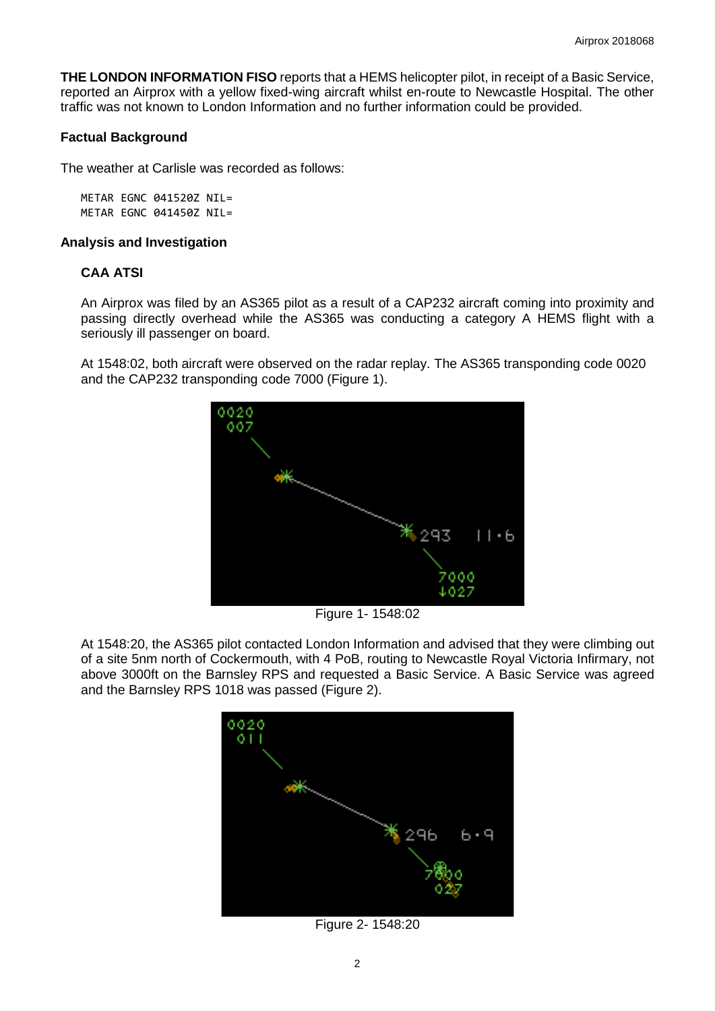**THE LONDON INFORMATION FISO** reports that a HEMS helicopter pilot, in receipt of a Basic Service, reported an Airprox with a yellow fixed-wing aircraft whilst en-route to Newcastle Hospital. The other traffic was not known to London Information and no further information could be provided.

#### **Factual Background**

The weather at Carlisle was recorded as follows:

METAR EGNC 041520Z NIL= METAR EGNC 041450Z NIL=

#### **Analysis and Investigation**

## **CAA ATSI**

An Airprox was filed by an AS365 pilot as a result of a CAP232 aircraft coming into proximity and passing directly overhead while the AS365 was conducting a category A HEMS flight with a seriously ill passenger on board.

At 1548:02, both aircraft were observed on the radar replay. The AS365 transponding code 0020 and the CAP232 transponding code 7000 (Figure 1).



Figure 1- 1548:02

At 1548:20, the AS365 pilot contacted London Information and advised that they were climbing out of a site 5nm north of Cockermouth, with 4 PoB, routing to Newcastle Royal Victoria Infirmary, not above 3000ft on the Barnsley RPS and requested a Basic Service. A Basic Service was agreed and the Barnsley RPS 1018 was passed (Figure 2).



Figure 2- 1548:20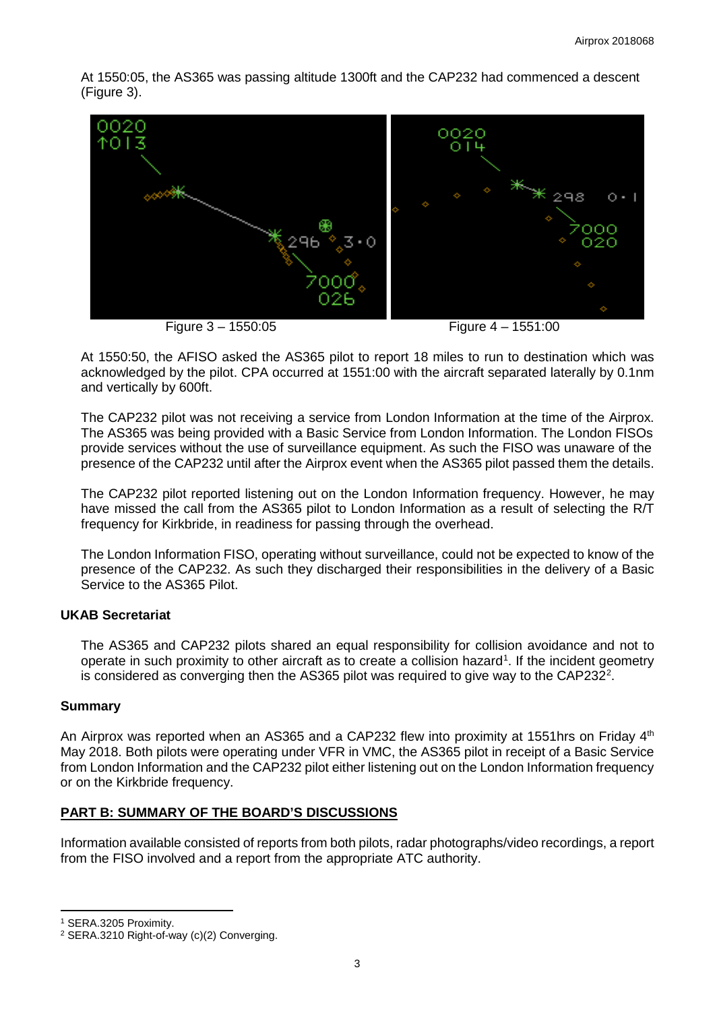At 1550:05, the AS365 was passing altitude 1300ft and the CAP232 had commenced a descent (Figure 3).



At 1550:50, the AFISO asked the AS365 pilot to report 18 miles to run to destination which was acknowledged by the pilot. CPA occurred at 1551:00 with the aircraft separated laterally by 0.1nm and vertically by 600ft.

The CAP232 pilot was not receiving a service from London Information at the time of the Airprox. The AS365 was being provided with a Basic Service from London Information. The London FISOs provide services without the use of surveillance equipment. As such the FISO was unaware of the presence of the CAP232 until after the Airprox event when the AS365 pilot passed them the details.

The CAP232 pilot reported listening out on the London Information frequency. However, he may have missed the call from the AS365 pilot to London Information as a result of selecting the R/T frequency for Kirkbride, in readiness for passing through the overhead.

The London Information FISO, operating without surveillance, could not be expected to know of the presence of the CAP232. As such they discharged their responsibilities in the delivery of a Basic Service to the AS365 Pilot.

## **UKAB Secretariat**

The AS365 and CAP232 pilots shared an equal responsibility for collision avoidance and not to operate in such proximity to other aircraft as to create a collision hazard<sup>[1](#page-2-0)</sup>. If the incident geometry is considered as converging then the AS365 pilot was required to give way to the CAP[2](#page-2-1)32<sup>2</sup>.

## **Summary**

An Airprox was reported when an AS365 and a CAP232 flew into proximity at 1551hrs on Friday 4<sup>th</sup> May 2018. Both pilots were operating under VFR in VMC, the AS365 pilot in receipt of a Basic Service from London Information and the CAP232 pilot either listening out on the London Information frequency or on the Kirkbride frequency.

# **PART B: SUMMARY OF THE BOARD'S DISCUSSIONS**

Information available consisted of reports from both pilots, radar photographs/video recordings, a report from the FISO involved and a report from the appropriate ATC authority.

l

<span id="page-2-0"></span><sup>1</sup> SERA.3205 Proximity.

<span id="page-2-1"></span><sup>2</sup> SERA.3210 Right-of-way (c)(2) Converging.